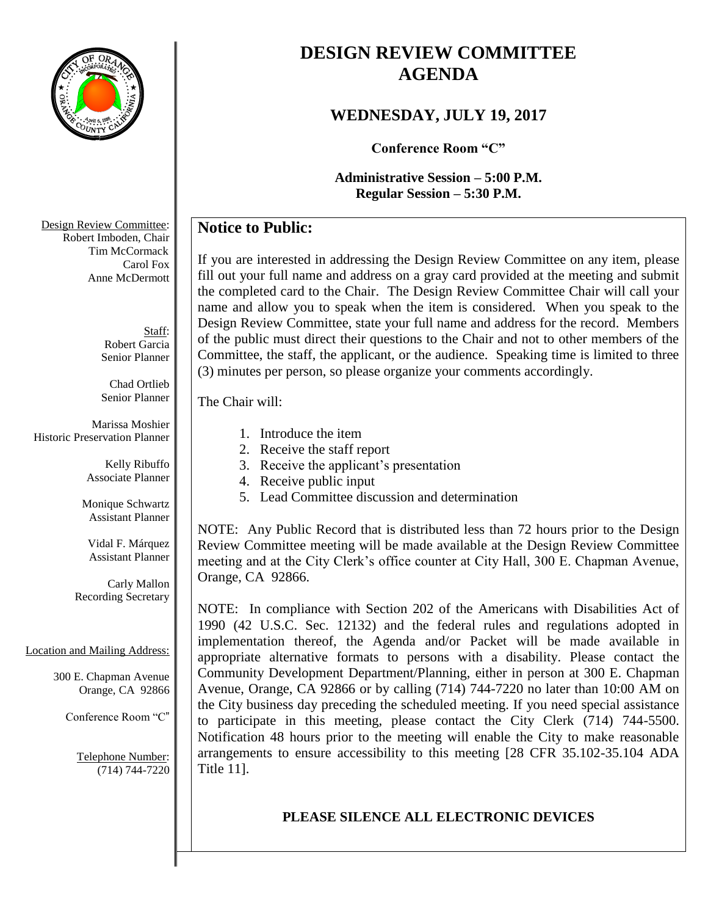

# **DESIGN REVIEW COMMITTEE AGENDA**

### **WEDNESDAY, JULY 19, 2017**

**Conference Room "C"**

**Administrative Session – 5:00 P.M. Regular Session – 5:30 P.M.**

### **Notice to Public:**

If you are interested in addressing the Design Review Committee on any item, please fill out your full name and address on a gray card provided at the meeting and submit the completed card to the Chair. The Design Review Committee Chair will call your name and allow you to speak when the item is considered. When you speak to the Design Review Committee, state your full name and address for the record. Members of the public must direct their questions to the Chair and not to other members of the Committee, the staff, the applicant, or the audience. Speaking time is limited to three (3) minutes per person, so please organize your comments accordingly.

The Chair will:

- 1. Introduce the item
- 2. Receive the staff report
- 3. Receive the applicant's presentation
- 4. Receive public input
- 5. Lead Committee discussion and determination

NOTE: Any Public Record that is distributed less than 72 hours prior to the Design Review Committee meeting will be made available at the Design Review Committee meeting and at the City Clerk's office counter at City Hall, 300 E. Chapman Avenue, Orange, CA 92866.

NOTE: In compliance with Section 202 of the Americans with Disabilities Act of 1990 (42 U.S.C. Sec. 12132) and the federal rules and regulations adopted in implementation thereof, the Agenda and/or Packet will be made available in appropriate alternative formats to persons with a disability. Please contact the Community Development Department/Planning, either in person at 300 E. Chapman Avenue, Orange, CA 92866 or by calling (714) 744-7220 no later than 10:00 AM on the City business day preceding the scheduled meeting. If you need special assistance to participate in this meeting, please contact the City Clerk (714) 744-5500. Notification 48 hours prior to the meeting will enable the City to make reasonable arrangements to ensure accessibility to this meeting [28 CFR 35.102-35.104 ADA Title 11].

## **PLEASE SILENCE ALL ELECTRONIC DEVICES**

Design Review Committee: Robert Imboden, Chair Tim McCormack Carol Fox Anne McDermott

> Staff: Robert Garcia Senior Planner

Chad Ortlieb Senior Planner

Marissa Moshier Historic Preservation Planner

> Kelly Ribuffo Associate Planner

Monique Schwartz Assistant Planner

Vidal F. Márquez Assistant Planner

Carly Mallon Recording Secretary

#### Location and Mailing Address:

300 E. Chapman Avenue Orange, CA 92866

Conference Room "C"

Telephone Number: (714) 744-7220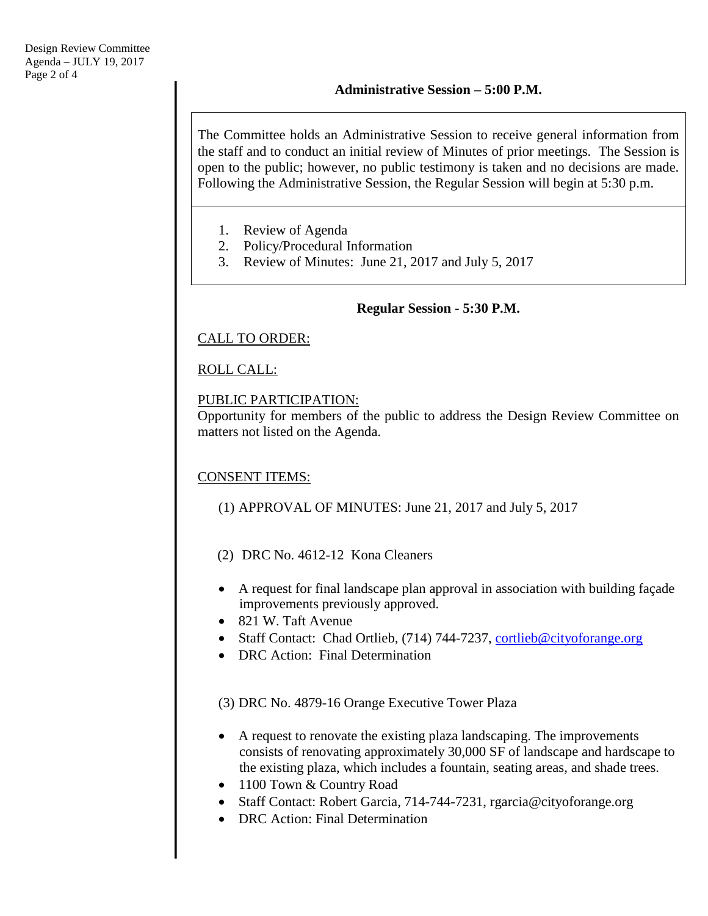The Committee holds an Administrative Session to receive general information from the staff and to conduct an initial review of Minutes of prior meetings. The Session is open to the public; however, no public testimony is taken and no decisions are made. Following the Administrative Session, the Regular Session will begin at 5:30 p.m.

- 1. Review of Agenda
- 2. Policy/Procedural Information
- 3. Review of Minutes: June 21, 2017 and July 5, 2017

#### **Regular Session - 5:30 P.M.**

#### CALL TO ORDER:

#### ROLL CALL:

#### PUBLIC PARTICIPATION:

Opportunity for members of the public to address the Design Review Committee on matters not listed on the Agenda.

#### CONSENT ITEMS:

- (1) APPROVAL OF MINUTES: June 21, 2017 and July 5, 2017
- (2) DRC No. 4612-12 Kona Cleaners
- A request for final landscape plan approval in association with building façade improvements previously approved.
- 821 W. Taft Avenue
- Staff Contact: Chad Ortlieb, (714) 744-7237, [cortlieb@cityoforange.org](mailto:cortlieb@cityoforange.org)
- DRC Action: Final Determination

(3) DRC No. 4879-16 Orange Executive Tower Plaza

- A request to renovate the existing plaza landscaping. The improvements consists of renovating approximately 30,000 SF of landscape and hardscape to the existing plaza, which includes a fountain, seating areas, and shade trees.
- 1100 Town & Country Road
- Staff Contact: Robert Garcia, 714-744-7231, rgarcia@cityoforange.org
- DRC Action: Final Determination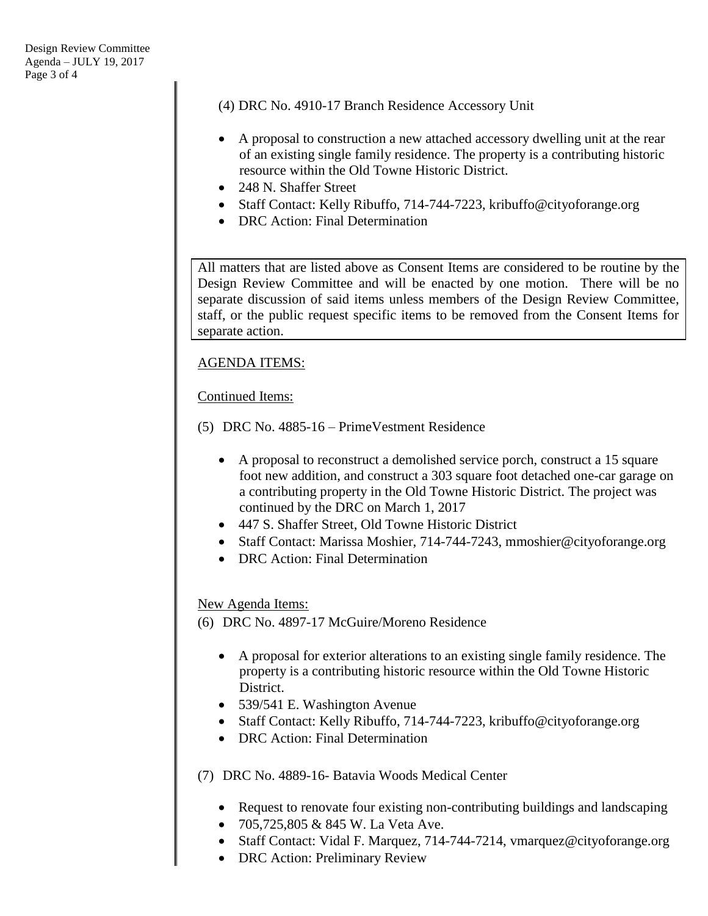(4) DRC No. 4910-17 Branch Residence Accessory Unit

- A proposal to construction a new attached accessory dwelling unit at the rear of an existing single family residence. The property is a contributing historic resource within the Old Towne Historic District.
- 248 N. Shaffer Street
- Staff Contact: Kelly Ribuffo, 714-744-7223, kribuffo@cityoforange.org
- DRC Action: Final Determination

All matters that are listed above as Consent Items are considered to be routine by the Design Review Committee and will be enacted by one motion. There will be no separate discussion of said items unless members of the Design Review Committee, staff, or the public request specific items to be removed from the Consent Items for separate action.

#### AGENDA ITEMS:

#### Continued Items:

- (5) DRC No. 4885-16 PrimeVestment Residence
	- A proposal to reconstruct a demolished service porch, construct a 15 square foot new addition, and construct a 303 square foot detached one-car garage on a contributing property in the Old Towne Historic District. The project was continued by the DRC on March 1, 2017
	- 447 S. Shaffer Street, Old Towne Historic District
	- Staff Contact: Marissa Moshier, 714-744-7243, mmoshier@cityoforange.org
	- DRC Action: Final Determination

#### New Agenda Items:

- (6) DRC No. 4897-17 McGuire/Moreno Residence
	- A proposal for exterior alterations to an existing single family residence. The property is a contributing historic resource within the Old Towne Historic District.
	- 539/541 E. Washington Avenue
	- Staff Contact: Kelly Ribuffo, 714-744-7223, kribuffo@cityoforange.org
	- DRC Action: Final Determination
- (7) DRC No. 4889-16- Batavia Woods Medical Center
	- Request to renovate four existing non-contributing buildings and landscaping
	- 705,725,805 & 845 W. La Veta Ave.
	- Staff Contact: Vidal F. Marquez, 714-744-7214, vmarquez@cityoforange.org
	- DRC Action: Preliminary Review